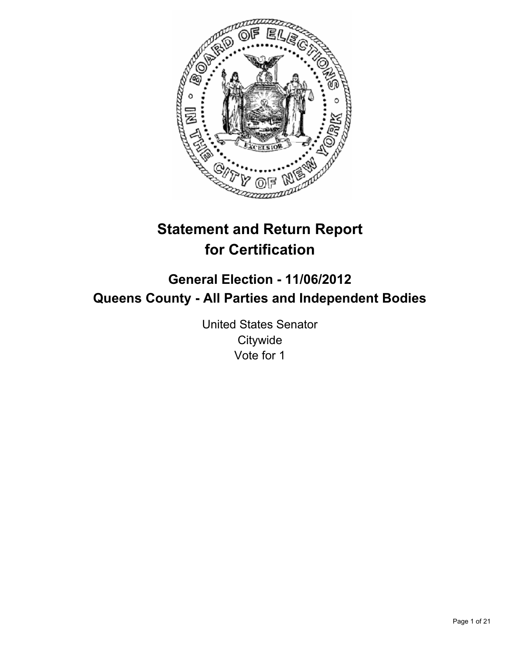

# **Statement and Return Report for Certification**

## **General Election - 11/06/2012 Queens County - All Parties and Independent Bodies**

United States Senator **Citywide** Vote for 1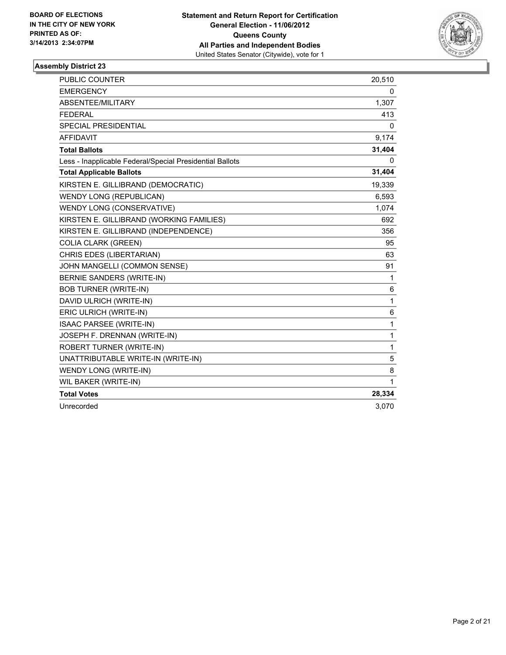

| <b>PUBLIC COUNTER</b>                                    | 20,510       |
|----------------------------------------------------------|--------------|
| <b>EMERGENCY</b>                                         | 0            |
| ABSENTEE/MILITARY                                        | 1,307        |
| <b>FEDERAL</b>                                           | 413          |
| <b>SPECIAL PRESIDENTIAL</b>                              | 0            |
| <b>AFFIDAVIT</b>                                         | 9,174        |
| <b>Total Ballots</b>                                     | 31,404       |
| Less - Inapplicable Federal/Special Presidential Ballots | 0            |
| <b>Total Applicable Ballots</b>                          | 31,404       |
| KIRSTEN E. GILLIBRAND (DEMOCRATIC)                       | 19,339       |
| <b>WENDY LONG (REPUBLICAN)</b>                           | 6,593        |
| WENDY LONG (CONSERVATIVE)                                | 1,074        |
| KIRSTEN E. GILLIBRAND (WORKING FAMILIES)                 | 692          |
| KIRSTEN E. GILLIBRAND (INDEPENDENCE)                     | 356          |
| <b>COLIA CLARK (GREEN)</b>                               | 95           |
| CHRIS EDES (LIBERTARIAN)                                 | 63           |
| JOHN MANGELLI (COMMON SENSE)                             | 91           |
| <b>BERNIE SANDERS (WRITE-IN)</b>                         | 1            |
| <b>BOB TURNER (WRITE-IN)</b>                             | 6            |
| DAVID ULRICH (WRITE-IN)                                  | $\mathbf{1}$ |
| ERIC ULRICH (WRITE-IN)                                   | 6            |
| ISAAC PARSEE (WRITE-IN)                                  | 1            |
| JOSEPH F. DRENNAN (WRITE-IN)                             | 1            |
| <b>ROBERT TURNER (WRITE-IN)</b>                          | $\mathbf{1}$ |
| UNATTRIBUTABLE WRITE-IN (WRITE-IN)                       | 5            |
| WENDY LONG (WRITE-IN)                                    | 8            |
| WIL BAKER (WRITE-IN)                                     | $\mathbf{1}$ |
| <b>Total Votes</b>                                       | 28,334       |
| Unrecorded                                               | 3,070        |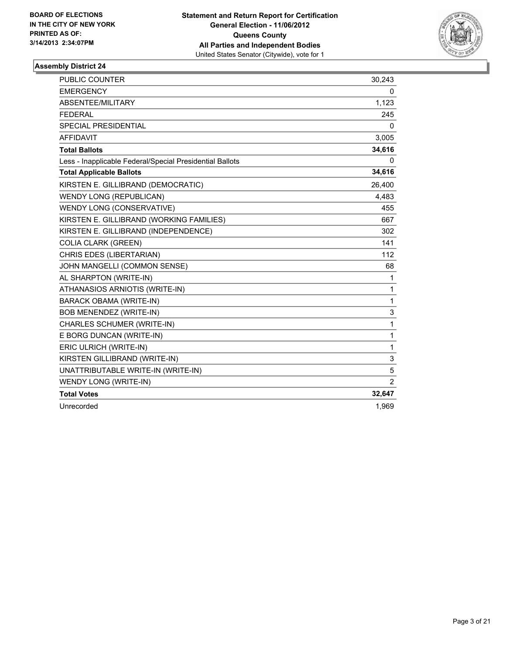

| <b>PUBLIC COUNTER</b>                                    | 30,243         |
|----------------------------------------------------------|----------------|
| <b>EMERGENCY</b>                                         | 0              |
| ABSENTEE/MILITARY                                        | 1,123          |
| <b>FEDERAL</b>                                           | 245            |
| <b>SPECIAL PRESIDENTIAL</b>                              | 0              |
| <b>AFFIDAVIT</b>                                         | 3,005          |
| <b>Total Ballots</b>                                     | 34,616         |
| Less - Inapplicable Federal/Special Presidential Ballots | 0              |
| <b>Total Applicable Ballots</b>                          | 34,616         |
| KIRSTEN E. GILLIBRAND (DEMOCRATIC)                       | 26,400         |
| <b>WENDY LONG (REPUBLICAN)</b>                           | 4,483          |
| WENDY LONG (CONSERVATIVE)                                | 455            |
| KIRSTEN E. GILLIBRAND (WORKING FAMILIES)                 | 667            |
| KIRSTEN E. GILLIBRAND (INDEPENDENCE)                     | 302            |
| <b>COLIA CLARK (GREEN)</b>                               | 141            |
| CHRIS EDES (LIBERTARIAN)                                 | 112            |
| JOHN MANGELLI (COMMON SENSE)                             | 68             |
| AL SHARPTON (WRITE-IN)                                   | 1              |
| ATHANASIOS ARNIOTIS (WRITE-IN)                           | $\mathbf{1}$   |
| <b>BARACK OBAMA (WRITE-IN)</b>                           | 1              |
| BOB MENENDEZ (WRITE-IN)                                  | 3              |
| CHARLES SCHUMER (WRITE-IN)                               | 1              |
| E BORG DUNCAN (WRITE-IN)                                 | $\mathbf{1}$   |
| ERIC ULRICH (WRITE-IN)                                   | $\mathbf{1}$   |
| KIRSTEN GILLIBRAND (WRITE-IN)                            | 3              |
| UNATTRIBUTABLE WRITE-IN (WRITE-IN)                       | 5              |
| WENDY LONG (WRITE-IN)                                    | $\overline{2}$ |
| <b>Total Votes</b>                                       | 32,647         |
| Unrecorded                                               | 1,969          |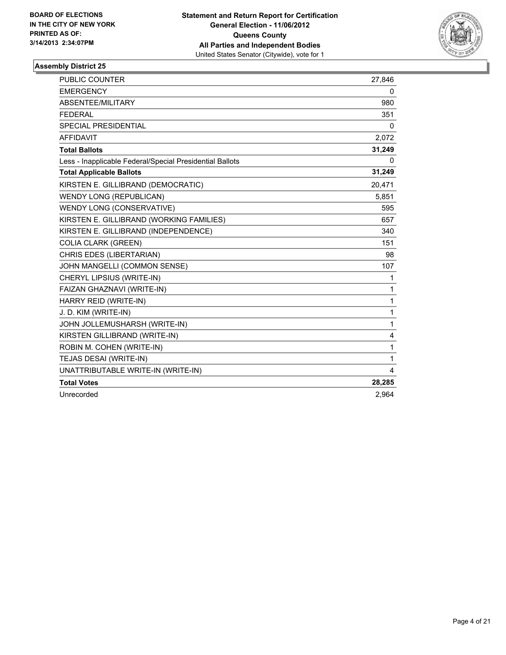

| <b>PUBLIC COUNTER</b>                                    | 27,846       |
|----------------------------------------------------------|--------------|
| <b>EMERGENCY</b>                                         | 0            |
| ABSENTEE/MILITARY                                        | 980          |
| <b>FEDERAL</b>                                           | 351          |
| <b>SPECIAL PRESIDENTIAL</b>                              | 0            |
| <b>AFFIDAVIT</b>                                         | 2,072        |
| <b>Total Ballots</b>                                     | 31,249       |
| Less - Inapplicable Federal/Special Presidential Ballots | 0            |
| <b>Total Applicable Ballots</b>                          | 31,249       |
| KIRSTEN E. GILLIBRAND (DEMOCRATIC)                       | 20,471       |
| <b>WENDY LONG (REPUBLICAN)</b>                           | 5,851        |
| WENDY LONG (CONSERVATIVE)                                | 595          |
| KIRSTEN E. GILLIBRAND (WORKING FAMILIES)                 | 657          |
| KIRSTEN E. GILLIBRAND (INDEPENDENCE)                     | 340          |
| <b>COLIA CLARK (GREEN)</b>                               | 151          |
| CHRIS EDES (LIBERTARIAN)                                 | 98           |
| JOHN MANGELLI (COMMON SENSE)                             | 107          |
| CHERYL LIPSIUS (WRITE-IN)                                | 1            |
| FAIZAN GHAZNAVI (WRITE-IN)                               | $\mathbf{1}$ |
| HARRY REID (WRITE-IN)                                    | 1            |
| J. D. KIM (WRITE-IN)                                     | $\mathbf{1}$ |
| JOHN JOLLEMUSHARSH (WRITE-IN)                            | $\mathbf{1}$ |
| KIRSTEN GILLIBRAND (WRITE-IN)                            | 4            |
| ROBIN M. COHEN (WRITE-IN)                                | $\mathbf{1}$ |
| TEJAS DESAI (WRITE-IN)                                   | $\mathbf{1}$ |
| UNATTRIBUTABLE WRITE-IN (WRITE-IN)                       | 4            |
| <b>Total Votes</b>                                       | 28,285       |
| Unrecorded                                               | 2,964        |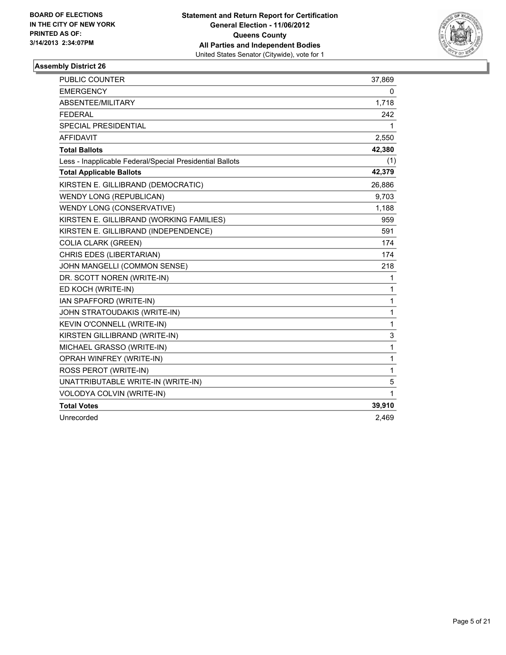

| <b>PUBLIC COUNTER</b>                                    | 37,869 |
|----------------------------------------------------------|--------|
| <b>EMERGENCY</b>                                         | 0      |
| ABSENTEE/MILITARY                                        | 1,718  |
| <b>FEDERAL</b>                                           | 242    |
| SPECIAL PRESIDENTIAL                                     | 1      |
| <b>AFFIDAVIT</b>                                         | 2,550  |
| <b>Total Ballots</b>                                     | 42,380 |
| Less - Inapplicable Federal/Special Presidential Ballots | (1)    |
| <b>Total Applicable Ballots</b>                          | 42,379 |
| KIRSTEN E. GILLIBRAND (DEMOCRATIC)                       | 26,886 |
| <b>WENDY LONG (REPUBLICAN)</b>                           | 9,703  |
| WENDY LONG (CONSERVATIVE)                                | 1,188  |
| KIRSTEN E. GILLIBRAND (WORKING FAMILIES)                 | 959    |
| KIRSTEN E. GILLIBRAND (INDEPENDENCE)                     | 591    |
| <b>COLIA CLARK (GREEN)</b>                               | 174    |
| CHRIS EDES (LIBERTARIAN)                                 | 174    |
| JOHN MANGELLI (COMMON SENSE)                             | 218    |
| DR. SCOTT NOREN (WRITE-IN)                               | 1      |
| ED KOCH (WRITE-IN)                                       | 1      |
| IAN SPAFFORD (WRITE-IN)                                  | 1      |
| JOHN STRATOUDAKIS (WRITE-IN)                             | 1      |
| KEVIN O'CONNELL (WRITE-IN)                               | 1      |
| KIRSTEN GILLIBRAND (WRITE-IN)                            | 3      |
| MICHAEL GRASSO (WRITE-IN)                                | 1      |
| OPRAH WINFREY (WRITE-IN)                                 | 1      |
| ROSS PEROT (WRITE-IN)                                    | 1      |
| UNATTRIBUTABLE WRITE-IN (WRITE-IN)                       | 5      |
| VOLODYA COLVIN (WRITE-IN)                                | 1      |
| <b>Total Votes</b>                                       | 39,910 |
| Unrecorded                                               | 2,469  |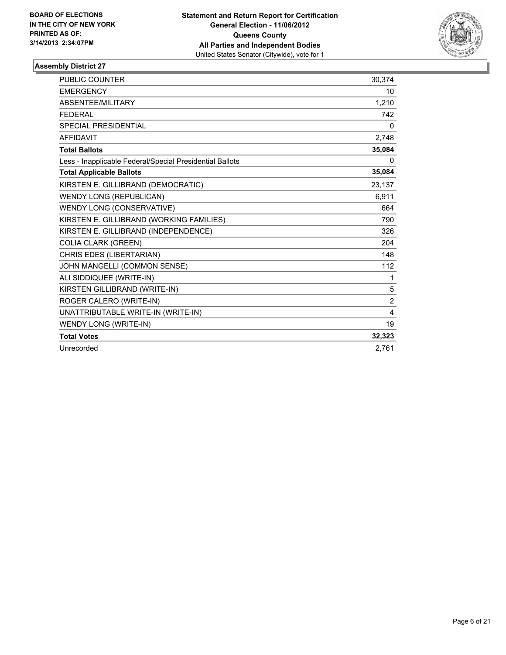

| PUBLIC COUNTER                                           | 30,374         |
|----------------------------------------------------------|----------------|
| <b>EMERGENCY</b>                                         | 10             |
| ABSENTEE/MILITARY                                        | 1,210          |
| <b>FEDERAL</b>                                           | 742            |
| <b>SPECIAL PRESIDENTIAL</b>                              | 0              |
| <b>AFFIDAVIT</b>                                         | 2,748          |
| <b>Total Ballots</b>                                     | 35,084         |
| Less - Inapplicable Federal/Special Presidential Ballots | $\Omega$       |
| <b>Total Applicable Ballots</b>                          | 35,084         |
| KIRSTEN E. GILLIBRAND (DEMOCRATIC)                       | 23,137         |
| <b>WENDY LONG (REPUBLICAN)</b>                           | 6,911          |
| WENDY LONG (CONSERVATIVE)                                | 664            |
| KIRSTEN E. GILLIBRAND (WORKING FAMILIES)                 | 790            |
| KIRSTEN E. GILLIBRAND (INDEPENDENCE)                     | 326            |
| <b>COLIA CLARK (GREEN)</b>                               | 204            |
| CHRIS EDES (LIBERTARIAN)                                 | 148            |
| JOHN MANGELLI (COMMON SENSE)                             | 112            |
| ALI SIDDIQUEE (WRITE-IN)                                 | 1              |
| KIRSTEN GILLIBRAND (WRITE-IN)                            | 5              |
| ROGER CALERO (WRITE-IN)                                  | $\overline{c}$ |
| UNATTRIBUTABLE WRITE-IN (WRITE-IN)                       | 4              |
| WENDY LONG (WRITE-IN)                                    | 19             |
| <b>Total Votes</b>                                       | 32,323         |
| Unrecorded                                               | 2,761          |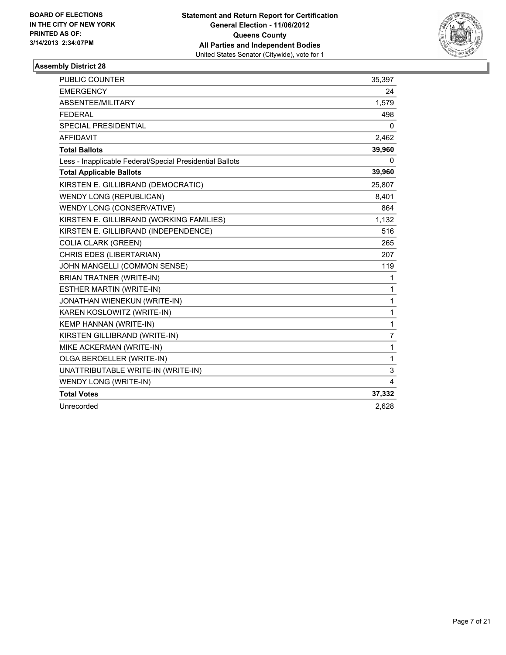

| PUBLIC COUNTER                                           | 35,397         |
|----------------------------------------------------------|----------------|
| <b>EMERGENCY</b>                                         | 24             |
| ABSENTEE/MILITARY                                        | 1,579          |
| <b>FEDERAL</b>                                           | 498            |
| SPECIAL PRESIDENTIAL                                     | 0              |
| <b>AFFIDAVIT</b>                                         | 2,462          |
| <b>Total Ballots</b>                                     | 39,960         |
| Less - Inapplicable Federal/Special Presidential Ballots | 0              |
| <b>Total Applicable Ballots</b>                          | 39,960         |
| KIRSTEN E. GILLIBRAND (DEMOCRATIC)                       | 25,807         |
| <b>WENDY LONG (REPUBLICAN)</b>                           | 8,401          |
| WENDY LONG (CONSERVATIVE)                                | 864            |
| KIRSTEN E. GILLIBRAND (WORKING FAMILIES)                 | 1,132          |
| KIRSTEN E. GILLIBRAND (INDEPENDENCE)                     | 516            |
| <b>COLIA CLARK (GREEN)</b>                               | 265            |
| CHRIS EDES (LIBERTARIAN)                                 | 207            |
| JOHN MANGELLI (COMMON SENSE)                             | 119            |
| <b>BRIAN TRATNER (WRITE-IN)</b>                          | 1              |
| <b>ESTHER MARTIN (WRITE-IN)</b>                          | 1              |
| JONATHAN WIENEKUN (WRITE-IN)                             | $\mathbf{1}$   |
| KAREN KOSLOWITZ (WRITE-IN)                               | $\mathbf{1}$   |
| KEMP HANNAN (WRITE-IN)                                   | $\mathbf{1}$   |
| KIRSTEN GILLIBRAND (WRITE-IN)                            | $\overline{7}$ |
| MIKE ACKERMAN (WRITE-IN)                                 | $\mathbf{1}$   |
| OLGA BEROELLER (WRITE-IN)                                | 1              |
| UNATTRIBUTABLE WRITE-IN (WRITE-IN)                       | 3              |
| WENDY LONG (WRITE-IN)                                    | 4              |
| <b>Total Votes</b>                                       | 37,332         |
| Unrecorded                                               | 2,628          |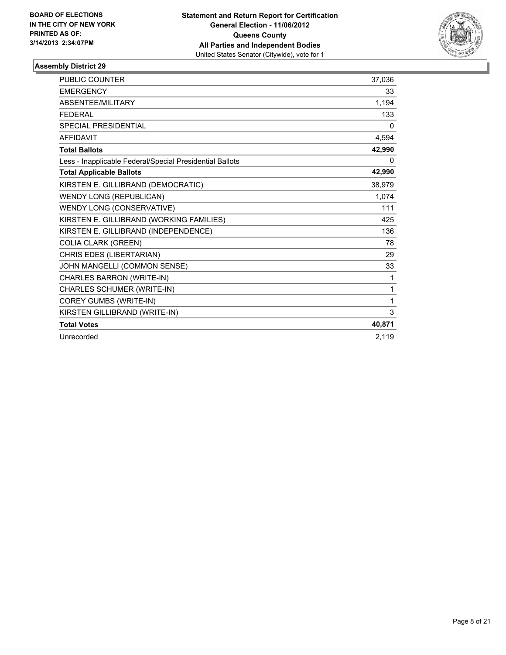

| <b>PUBLIC COUNTER</b>                                    | 37,036   |
|----------------------------------------------------------|----------|
| <b>EMERGENCY</b>                                         | 33       |
| ABSENTEE/MILITARY                                        | 1,194    |
| <b>FEDERAL</b>                                           | 133      |
| <b>SPECIAL PRESIDENTIAL</b>                              | $\Omega$ |
| <b>AFFIDAVIT</b>                                         | 4,594    |
| <b>Total Ballots</b>                                     | 42,990   |
| Less - Inapplicable Federal/Special Presidential Ballots | 0        |
| <b>Total Applicable Ballots</b>                          | 42,990   |
| KIRSTEN E. GILLIBRAND (DEMOCRATIC)                       | 38,979   |
| <b>WENDY LONG (REPUBLICAN)</b>                           | 1,074    |
| WENDY LONG (CONSERVATIVE)                                | 111      |
| KIRSTEN E. GILLIBRAND (WORKING FAMILIES)                 | 425      |
| KIRSTEN E. GILLIBRAND (INDEPENDENCE)                     | 136      |
| <b>COLIA CLARK (GREEN)</b>                               | 78       |
| CHRIS EDES (LIBERTARIAN)                                 | 29       |
| JOHN MANGELLI (COMMON SENSE)                             | 33       |
| CHARLES BARRON (WRITE-IN)                                | 1        |
| CHARLES SCHUMER (WRITE-IN)                               | 1        |
| COREY GUMBS (WRITE-IN)                                   | 1        |
| KIRSTEN GILLIBRAND (WRITE-IN)                            | 3        |
| <b>Total Votes</b>                                       | 40,871   |
| Unrecorded                                               | 2.119    |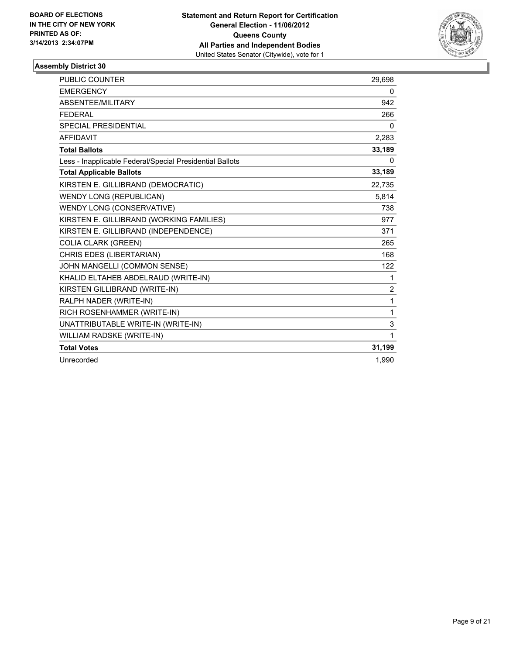

| <b>PUBLIC COUNTER</b>                                    | 29,698       |
|----------------------------------------------------------|--------------|
| <b>EMERGENCY</b>                                         | 0            |
| <b>ABSENTEE/MILITARY</b>                                 | 942          |
| <b>FFDFRAL</b>                                           | 266          |
| <b>SPECIAL PRESIDENTIAL</b>                              | $\mathbf{0}$ |
| <b>AFFIDAVIT</b>                                         | 2,283        |
| <b>Total Ballots</b>                                     | 33,189       |
| Less - Inapplicable Federal/Special Presidential Ballots | 0            |
| <b>Total Applicable Ballots</b>                          | 33,189       |
| KIRSTEN E. GILLIBRAND (DEMOCRATIC)                       | 22,735       |
| <b>WENDY LONG (REPUBLICAN)</b>                           | 5,814        |
| WENDY LONG (CONSERVATIVE)                                | 738          |
| KIRSTEN E. GILLIBRAND (WORKING FAMILIES)                 | 977          |
| KIRSTEN E. GILLIBRAND (INDEPENDENCE)                     | 371          |
| <b>COLIA CLARK (GREEN)</b>                               | 265          |
| CHRIS EDES (LIBERTARIAN)                                 | 168          |
| JOHN MANGELLI (COMMON SENSE)                             | 122          |
| KHALID ELTAHEB ABDELRAUD (WRITE-IN)                      | 1            |
| KIRSTEN GILLIBRAND (WRITE-IN)                            | 2            |
| RALPH NADER (WRITE-IN)                                   | 1            |
| RICH ROSENHAMMER (WRITE-IN)                              | 1            |
| UNATTRIBUTABLE WRITE-IN (WRITE-IN)                       | 3            |
| <b>WILLIAM RADSKE (WRITE-IN)</b>                         | 1            |
| <b>Total Votes</b>                                       | 31,199       |
| Unrecorded                                               | 1.990        |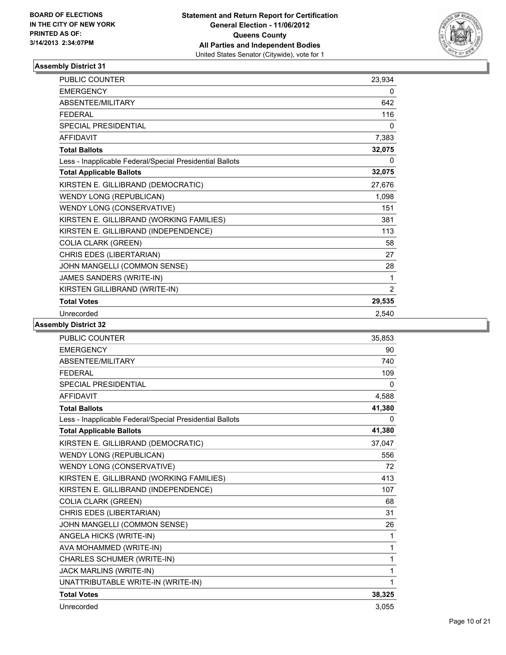

| <b>PUBLIC COUNTER</b>                                    | 23,934 |
|----------------------------------------------------------|--------|
| <b>EMERGENCY</b>                                         | 0      |
| ABSENTEE/MILITARY                                        | 642    |
| <b>FFDFRAL</b>                                           | 116    |
| <b>SPECIAL PRESIDENTIAL</b>                              | 0      |
| <b>AFFIDAVIT</b>                                         | 7,383  |
| <b>Total Ballots</b>                                     | 32,075 |
| Less - Inapplicable Federal/Special Presidential Ballots | 0      |
| <b>Total Applicable Ballots</b>                          | 32,075 |
| KIRSTEN E. GILLIBRAND (DEMOCRATIC)                       | 27,676 |
| <b>WENDY LONG (REPUBLICAN)</b>                           | 1,098  |
| WENDY LONG (CONSERVATIVE)                                | 151    |
| KIRSTEN E. GILLIBRAND (WORKING FAMILIES)                 | 381    |
| KIRSTEN E. GILLIBRAND (INDEPENDENCE)                     | 113    |
| <b>COLIA CLARK (GREEN)</b>                               | 58     |
| CHRIS EDES (LIBERTARIAN)                                 | 27     |
| JOHN MANGELLI (COMMON SENSE)                             | 28     |
| JAMES SANDERS (WRITE-IN)                                 | 1      |
| KIRSTEN GILLIBRAND (WRITE-IN)                            | 2      |
| <b>Total Votes</b>                                       | 29,535 |
| Unrecorded                                               | 2,540  |

| <b>PUBLIC COUNTER</b>                                    | 35,853   |
|----------------------------------------------------------|----------|
| <b>EMERGENCY</b>                                         | 90       |
| ABSENTEE/MILITARY                                        | 740      |
| <b>FEDERAL</b>                                           | 109      |
| <b>SPECIAL PRESIDENTIAL</b>                              | 0        |
| <b>AFFIDAVIT</b>                                         | 4,588    |
| <b>Total Ballots</b>                                     | 41,380   |
| Less - Inapplicable Federal/Special Presidential Ballots | $\Omega$ |
| <b>Total Applicable Ballots</b>                          | 41,380   |
| KIRSTEN E. GILLIBRAND (DEMOCRATIC)                       | 37,047   |
| <b>WENDY LONG (REPUBLICAN)</b>                           | 556      |
| WENDY LONG (CONSERVATIVE)                                | 72       |
| KIRSTEN E. GILLIBRAND (WORKING FAMILIES)                 | 413      |
| KIRSTEN E. GILLIBRAND (INDEPENDENCE)                     | 107      |
| <b>COLIA CLARK (GREEN)</b>                               | 68       |
| CHRIS EDES (LIBERTARIAN)                                 | 31       |
| JOHN MANGELLI (COMMON SENSE)                             | 26       |
| ANGELA HICKS (WRITE-IN)                                  | 1        |
| AVA MOHAMMED (WRITE-IN)                                  | 1        |
| CHARLES SCHUMER (WRITE-IN)                               | 1        |
| JACK MARLINS (WRITE-IN)                                  | 1        |
| UNATTRIBUTABLE WRITE-IN (WRITE-IN)                       | 1        |
| <b>Total Votes</b>                                       | 38,325   |
| Unrecorded                                               | 3,055    |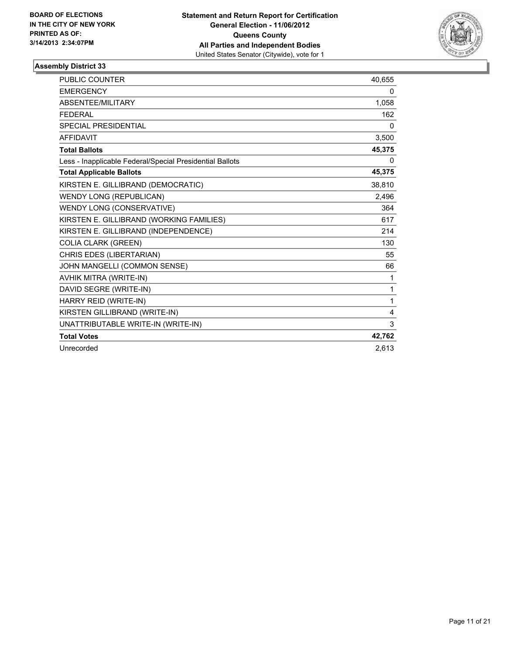

| <b>PUBLIC COUNTER</b>                                    | 40,655 |
|----------------------------------------------------------|--------|
| <b>EMERGENCY</b>                                         | 0      |
| <b>ABSENTEE/MILITARY</b>                                 | 1,058  |
| <b>FEDERAL</b>                                           | 162    |
| SPECIAL PRESIDENTIAL                                     | 0      |
| <b>AFFIDAVIT</b>                                         | 3,500  |
| <b>Total Ballots</b>                                     | 45,375 |
| Less - Inapplicable Federal/Special Presidential Ballots | 0      |
| <b>Total Applicable Ballots</b>                          | 45,375 |
| KIRSTEN E. GILLIBRAND (DEMOCRATIC)                       | 38,810 |
| <b>WENDY LONG (REPUBLICAN)</b>                           | 2,496  |
| WENDY LONG (CONSERVATIVE)                                | 364    |
| KIRSTEN E. GILLIBRAND (WORKING FAMILIES)                 | 617    |
| KIRSTEN E. GILLIBRAND (INDEPENDENCE)                     | 214    |
| <b>COLIA CLARK (GREEN)</b>                               | 130    |
| CHRIS EDES (LIBERTARIAN)                                 | 55     |
| JOHN MANGELLI (COMMON SENSE)                             | 66     |
| AVHIK MITRA (WRITE-IN)                                   | 1      |
| DAVID SEGRE (WRITE-IN)                                   | 1      |
| HARRY REID (WRITE-IN)                                    | 1      |
| KIRSTEN GILLIBRAND (WRITE-IN)                            | 4      |
| UNATTRIBUTABLE WRITE-IN (WRITE-IN)                       | 3      |
| <b>Total Votes</b>                                       | 42,762 |
| Unrecorded                                               | 2.613  |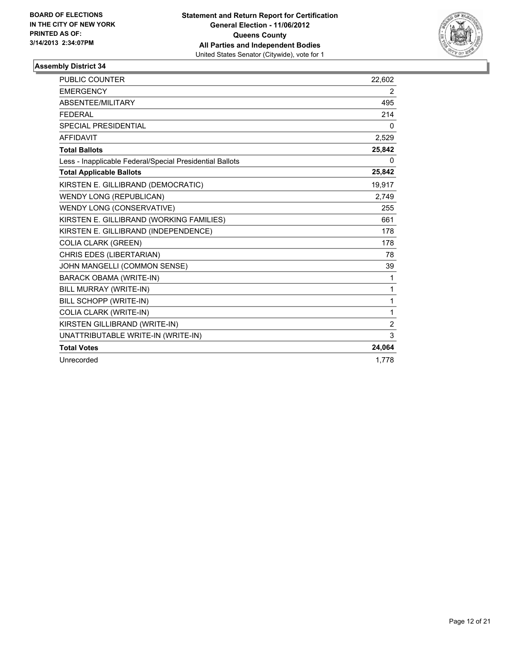

| <b>PUBLIC COUNTER</b>                                    | 22,602         |
|----------------------------------------------------------|----------------|
| <b>EMERGENCY</b>                                         | 2              |
| ABSENTEE/MILITARY                                        | 495            |
| <b>FFDFRAL</b>                                           | 214            |
| <b>SPECIAL PRESIDENTIAL</b>                              | $\mathbf{0}$   |
| <b>AFFIDAVIT</b>                                         | 2,529          |
| <b>Total Ballots</b>                                     | 25,842         |
| Less - Inapplicable Federal/Special Presidential Ballots | 0              |
| <b>Total Applicable Ballots</b>                          | 25,842         |
| KIRSTEN E. GILLIBRAND (DEMOCRATIC)                       | 19,917         |
| <b>WENDY LONG (REPUBLICAN)</b>                           | 2,749          |
| WENDY LONG (CONSERVATIVE)                                | 255            |
| KIRSTEN E. GILLIBRAND (WORKING FAMILIES)                 | 661            |
| KIRSTEN E. GILLIBRAND (INDEPENDENCE)                     | 178            |
| <b>COLIA CLARK (GREEN)</b>                               | 178            |
| CHRIS EDES (LIBERTARIAN)                                 | 78             |
| JOHN MANGELLI (COMMON SENSE)                             | 39             |
| <b>BARACK OBAMA (WRITE-IN)</b>                           | 1              |
| BILL MURRAY (WRITE-IN)                                   | 1              |
| BILL SCHOPP (WRITE-IN)                                   | 1              |
| COLIA CLARK (WRITE-IN)                                   | 1              |
| KIRSTEN GILLIBRAND (WRITE-IN)                            | $\overline{2}$ |
| UNATTRIBUTABLE WRITE-IN (WRITE-IN)                       | 3              |
| <b>Total Votes</b>                                       | 24,064         |
| Unrecorded                                               | 1.778          |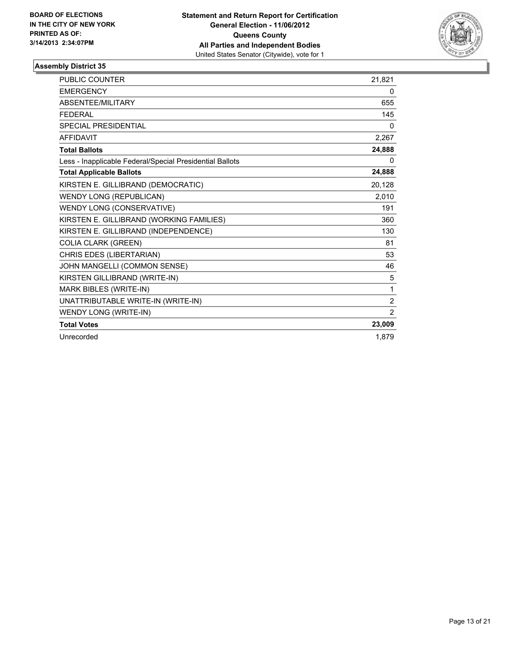

| <b>PUBLIC COUNTER</b>                                    | 21,821         |
|----------------------------------------------------------|----------------|
| <b>EMERGENCY</b>                                         | 0              |
| ABSENTEE/MILITARY                                        | 655            |
| <b>FEDERAL</b>                                           | 145            |
| <b>SPECIAL PRESIDENTIAL</b>                              | 0              |
| <b>AFFIDAVIT</b>                                         | 2,267          |
| <b>Total Ballots</b>                                     | 24,888         |
| Less - Inapplicable Federal/Special Presidential Ballots | 0              |
| <b>Total Applicable Ballots</b>                          | 24,888         |
| KIRSTEN E. GILLIBRAND (DEMOCRATIC)                       | 20,128         |
| <b>WENDY LONG (REPUBLICAN)</b>                           | 2,010          |
| WENDY LONG (CONSERVATIVE)                                | 191            |
| KIRSTEN E. GILLIBRAND (WORKING FAMILIES)                 | 360            |
| KIRSTEN E. GILLIBRAND (INDEPENDENCE)                     | 130            |
| <b>COLIA CLARK (GREEN)</b>                               | 81             |
| CHRIS EDES (LIBERTARIAN)                                 | 53             |
| JOHN MANGELLI (COMMON SENSE)                             | 46             |
| KIRSTEN GILLIBRAND (WRITE-IN)                            | 5              |
| MARK BIBLES (WRITE-IN)                                   | 1              |
| UNATTRIBUTABLE WRITE-IN (WRITE-IN)                       | $\overline{2}$ |
| WENDY LONG (WRITE-IN)                                    | 2              |
| <b>Total Votes</b>                                       | 23,009         |
| Unrecorded                                               | 1,879          |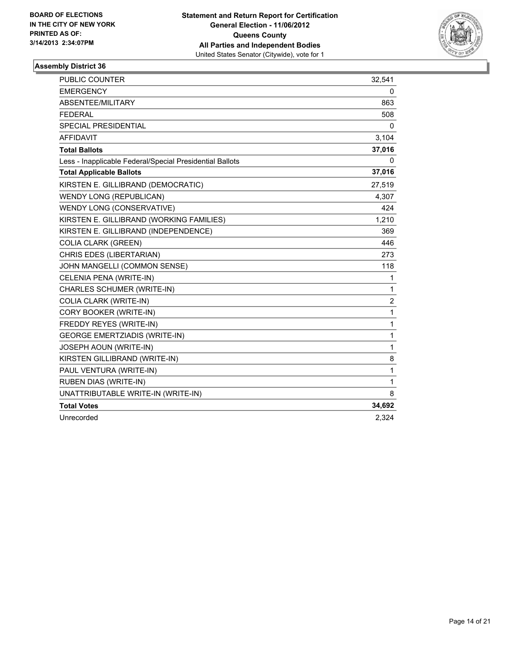

| <b>PUBLIC COUNTER</b>                                    | 32,541       |
|----------------------------------------------------------|--------------|
| <b>EMERGENCY</b>                                         | 0            |
| ABSENTEE/MILITARY                                        | 863          |
| <b>FEDERAL</b>                                           | 508          |
| <b>SPECIAL PRESIDENTIAL</b>                              | 0            |
| <b>AFFIDAVIT</b>                                         | 3,104        |
| <b>Total Ballots</b>                                     | 37,016       |
| Less - Inapplicable Federal/Special Presidential Ballots | 0            |
| <b>Total Applicable Ballots</b>                          | 37,016       |
| KIRSTEN E. GILLIBRAND (DEMOCRATIC)                       | 27,519       |
| <b>WENDY LONG (REPUBLICAN)</b>                           | 4,307        |
| WENDY LONG (CONSERVATIVE)                                | 424          |
| KIRSTEN E. GILLIBRAND (WORKING FAMILIES)                 | 1,210        |
| KIRSTEN E. GILLIBRAND (INDEPENDENCE)                     | 369          |
| <b>COLIA CLARK (GREEN)</b>                               | 446          |
| CHRIS EDES (LIBERTARIAN)                                 | 273          |
| JOHN MANGELLI (COMMON SENSE)                             | 118          |
| CELENIA PENA (WRITE-IN)                                  | 1            |
| CHARLES SCHUMER (WRITE-IN)                               | 1            |
| COLIA CLARK (WRITE-IN)                                   | 2            |
| CORY BOOKER (WRITE-IN)                                   | 1            |
| FREDDY REYES (WRITE-IN)                                  | 1            |
| <b>GEORGE EMERTZIADIS (WRITE-IN)</b>                     | 1            |
| JOSEPH AOUN (WRITE-IN)                                   | $\mathbf{1}$ |
| KIRSTEN GILLIBRAND (WRITE-IN)                            | 8            |
| PAUL VENTURA (WRITE-IN)                                  | 1            |
| RUBEN DIAS (WRITE-IN)                                    | 1            |
| UNATTRIBUTABLE WRITE-IN (WRITE-IN)                       | 8            |
| <b>Total Votes</b>                                       | 34,692       |
| Unrecorded                                               | 2,324        |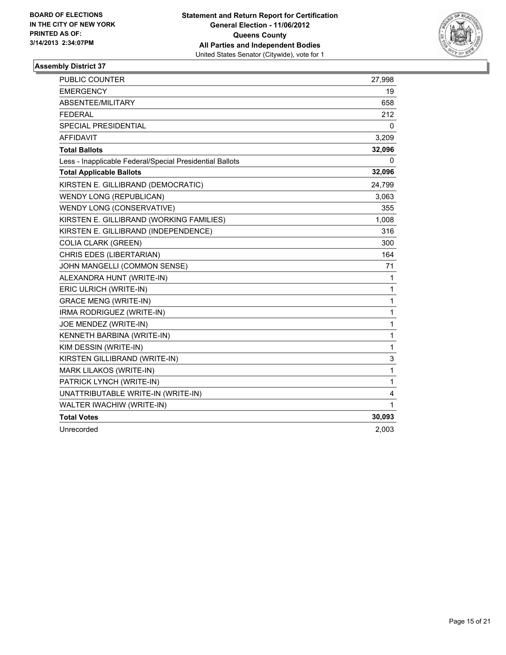

| <b>PUBLIC COUNTER</b>                                    | 27,998       |
|----------------------------------------------------------|--------------|
| <b>EMERGENCY</b>                                         | 19           |
| ABSENTEE/MILITARY                                        | 658          |
| <b>FEDERAL</b>                                           | 212          |
| <b>SPECIAL PRESIDENTIAL</b>                              | 0            |
| <b>AFFIDAVIT</b>                                         | 3,209        |
| <b>Total Ballots</b>                                     | 32,096       |
| Less - Inapplicable Federal/Special Presidential Ballots | 0            |
| <b>Total Applicable Ballots</b>                          | 32,096       |
| KIRSTEN E. GILLIBRAND (DEMOCRATIC)                       | 24,799       |
| <b>WENDY LONG (REPUBLICAN)</b>                           | 3,063        |
| WENDY LONG (CONSERVATIVE)                                | 355          |
| KIRSTEN E. GILLIBRAND (WORKING FAMILIES)                 | 1,008        |
| KIRSTEN E. GILLIBRAND (INDEPENDENCE)                     | 316          |
| <b>COLIA CLARK (GREEN)</b>                               | 300          |
| CHRIS EDES (LIBERTARIAN)                                 | 164          |
| JOHN MANGELLI (COMMON SENSE)                             | 71           |
| ALEXANDRA HUNT (WRITE-IN)                                | 1            |
| ERIC ULRICH (WRITE-IN)                                   | $\mathbf{1}$ |
| <b>GRACE MENG (WRITE-IN)</b>                             | 1            |
| IRMA RODRIGUEZ (WRITE-IN)                                | 1            |
| JOE MENDEZ (WRITE-IN)                                    | 1            |
| KENNETH BARBINA (WRITE-IN)                               | 1            |
| KIM DESSIN (WRITE-IN)                                    | 1            |
| KIRSTEN GILLIBRAND (WRITE-IN)                            | 3            |
| MARK LILAKOS (WRITE-IN)                                  | 1            |
| PATRICK LYNCH (WRITE-IN)                                 | $\mathbf{1}$ |
| UNATTRIBUTABLE WRITE-IN (WRITE-IN)                       | 4            |
| WALTER IWACHIW (WRITE-IN)                                | 1            |
| <b>Total Votes</b>                                       | 30,093       |
| Unrecorded                                               | 2,003        |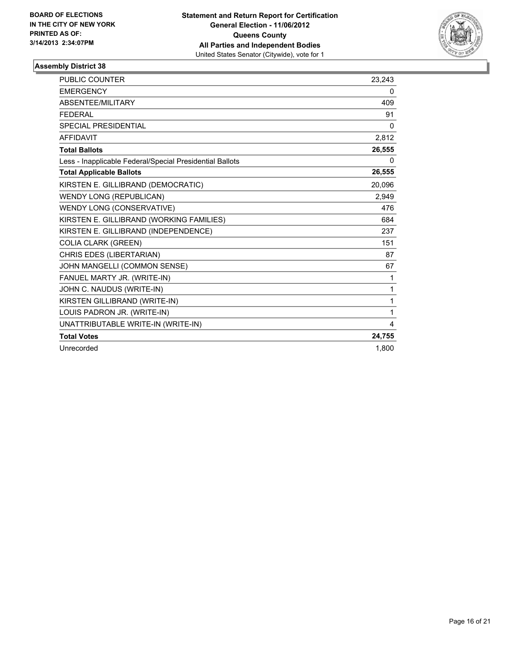

| <b>PUBLIC COUNTER</b>                                    | 23,243       |
|----------------------------------------------------------|--------------|
| <b>EMERGENCY</b>                                         | 0            |
| ABSENTEE/MILITARY                                        | 409          |
| <b>FEDERAL</b>                                           | 91           |
| SPECIAL PRESIDENTIAL                                     | $\mathbf{0}$ |
| <b>AFFIDAVIT</b>                                         | 2,812        |
| <b>Total Ballots</b>                                     | 26,555       |
| Less - Inapplicable Federal/Special Presidential Ballots | 0            |
| <b>Total Applicable Ballots</b>                          | 26,555       |
| KIRSTEN E. GILLIBRAND (DEMOCRATIC)                       | 20.096       |
| <b>WENDY LONG (REPUBLICAN)</b>                           | 2,949        |
| WENDY LONG (CONSERVATIVE)                                | 476          |
| KIRSTEN E. GILLIBRAND (WORKING FAMILIES)                 | 684          |
| KIRSTEN E. GILLIBRAND (INDEPENDENCE)                     | 237          |
| <b>COLIA CLARK (GREEN)</b>                               | 151          |
| CHRIS EDES (LIBERTARIAN)                                 | 87           |
| JOHN MANGELLI (COMMON SENSE)                             | 67           |
| FANUEL MARTY JR. (WRITE-IN)                              | 1            |
| JOHN C. NAUDUS (WRITE-IN)                                | 1            |
| KIRSTEN GILLIBRAND (WRITE-IN)                            | 1            |
| LOUIS PADRON JR. (WRITE-IN)                              | 1            |
| UNATTRIBUTABLE WRITE-IN (WRITE-IN)                       | 4            |
| <b>Total Votes</b>                                       | 24,755       |
| Unrecorded                                               | 1.800        |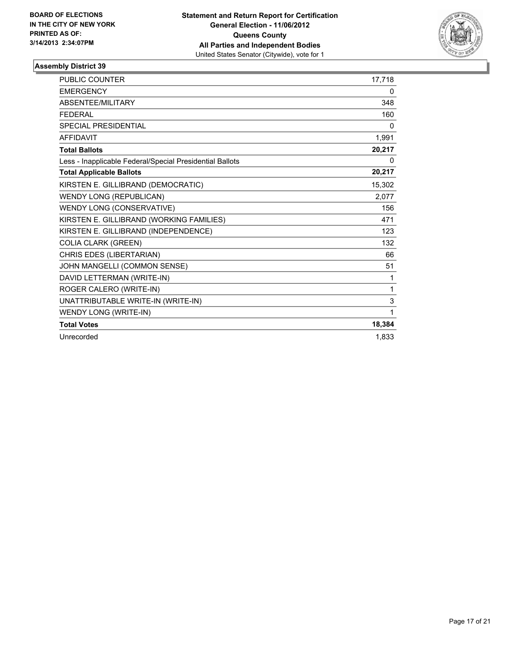

| <b>PUBLIC COUNTER</b>                                    | 17,718 |
|----------------------------------------------------------|--------|
| <b>EMERGENCY</b>                                         | 0      |
| ABSENTEE/MILITARY                                        | 348    |
| <b>FEDERAL</b>                                           | 160    |
| <b>SPECIAL PRESIDENTIAL</b>                              | 0      |
| <b>AFFIDAVIT</b>                                         | 1,991  |
| <b>Total Ballots</b>                                     | 20,217 |
| Less - Inapplicable Federal/Special Presidential Ballots | 0      |
| <b>Total Applicable Ballots</b>                          | 20,217 |
| KIRSTEN E. GILLIBRAND (DEMOCRATIC)                       | 15,302 |
| <b>WENDY LONG (REPUBLICAN)</b>                           | 2,077  |
| WENDY LONG (CONSERVATIVE)                                | 156    |
| KIRSTEN E. GILLIBRAND (WORKING FAMILIES)                 | 471    |
| KIRSTEN E. GILLIBRAND (INDEPENDENCE)                     | 123    |
| <b>COLIA CLARK (GREEN)</b>                               | 132    |
| CHRIS EDES (LIBERTARIAN)                                 | 66     |
| JOHN MANGELLI (COMMON SENSE)                             | 51     |
| DAVID LETTERMAN (WRITE-IN)                               | 1      |
| ROGER CALERO (WRITE-IN)                                  | 1      |
| UNATTRIBUTABLE WRITE-IN (WRITE-IN)                       | 3      |
| WENDY LONG (WRITE-IN)                                    | 1      |
| <b>Total Votes</b>                                       | 18,384 |
| Unrecorded                                               | 1,833  |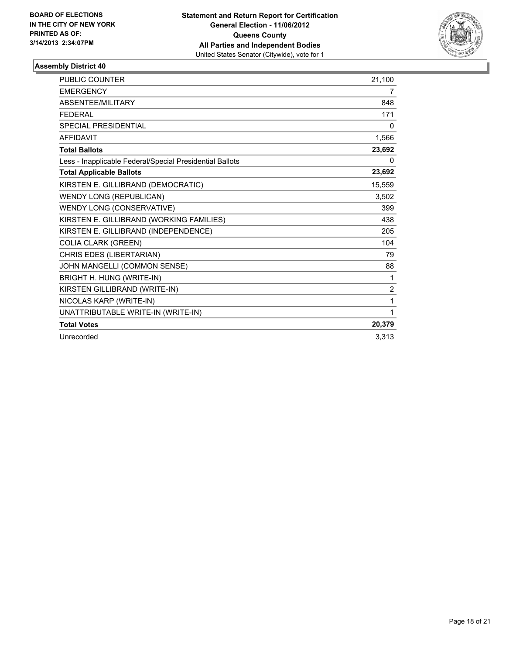

| <b>PUBLIC COUNTER</b>                                    | 21,100         |
|----------------------------------------------------------|----------------|
| <b>EMERGENCY</b>                                         | 7              |
| ABSENTEE/MILITARY                                        | 848            |
| <b>FEDERAL</b>                                           | 171            |
| <b>SPECIAL PRESIDENTIAL</b>                              | 0              |
| <b>AFFIDAVIT</b>                                         | 1,566          |
| <b>Total Ballots</b>                                     | 23,692         |
| Less - Inapplicable Federal/Special Presidential Ballots | 0              |
| <b>Total Applicable Ballots</b>                          | 23,692         |
| KIRSTEN E. GILLIBRAND (DEMOCRATIC)                       | 15,559         |
| <b>WENDY LONG (REPUBLICAN)</b>                           | 3,502          |
| WENDY LONG (CONSERVATIVE)                                | 399            |
| KIRSTEN E. GILLIBRAND (WORKING FAMILIES)                 | 438            |
| KIRSTEN E. GILLIBRAND (INDEPENDENCE)                     | 205            |
| <b>COLIA CLARK (GREEN)</b>                               | 104            |
| CHRIS EDES (LIBERTARIAN)                                 | 79             |
| JOHN MANGELLI (COMMON SENSE)                             | 88             |
| BRIGHT H. HUNG (WRITE-IN)                                | 1              |
| KIRSTEN GILLIBRAND (WRITE-IN)                            | $\overline{2}$ |
| NICOLAS KARP (WRITE-IN)                                  | 1              |
| UNATTRIBUTABLE WRITE-IN (WRITE-IN)                       | 1              |
| <b>Total Votes</b>                                       | 20,379         |
| Unrecorded                                               | 3,313          |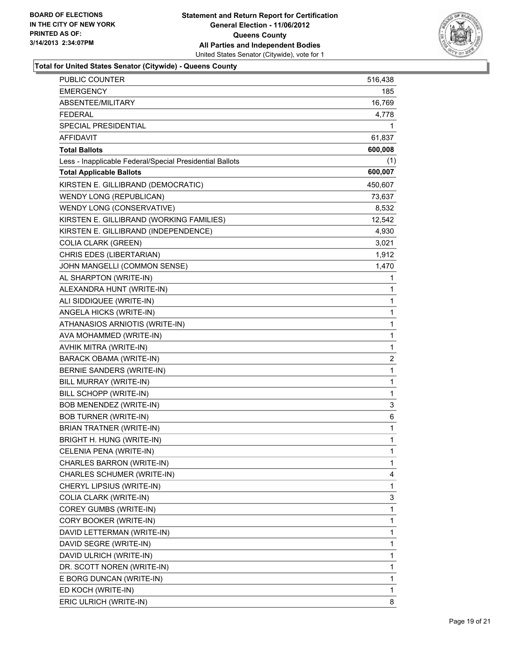

### **Total for United States Senator (Citywide) - Queens County**

| PUBLIC COUNTER                                           | 516,438        |
|----------------------------------------------------------|----------------|
| <b>EMERGENCY</b>                                         | 185            |
| ABSENTEE/MILITARY                                        | 16,769         |
| <b>FEDERAL</b>                                           | 4,778          |
| SPECIAL PRESIDENTIAL                                     | 1              |
| <b>AFFIDAVIT</b>                                         | 61,837         |
| <b>Total Ballots</b>                                     | 600,008        |
| Less - Inapplicable Federal/Special Presidential Ballots | (1)            |
| <b>Total Applicable Ballots</b>                          | 600,007        |
| KIRSTEN E. GILLIBRAND (DEMOCRATIC)                       | 450,607        |
| WENDY LONG (REPUBLICAN)                                  | 73,637         |
| WENDY LONG (CONSERVATIVE)                                | 8,532          |
| KIRSTEN E. GILLIBRAND (WORKING FAMILIES)                 | 12,542         |
| KIRSTEN E. GILLIBRAND (INDEPENDENCE)                     | 4,930          |
| <b>COLIA CLARK (GREEN)</b>                               | 3,021          |
| CHRIS EDES (LIBERTARIAN)                                 | 1,912          |
| JOHN MANGELLI (COMMON SENSE)                             | 1,470          |
| AL SHARPTON (WRITE-IN)                                   | 1              |
| ALEXANDRA HUNT (WRITE-IN)                                | 1              |
| ALI SIDDIQUEE (WRITE-IN)                                 | 1              |
| ANGELA HICKS (WRITE-IN)                                  | 1              |
| ATHANASIOS ARNIOTIS (WRITE-IN)                           | 1              |
| AVA MOHAMMED (WRITE-IN)                                  | 1              |
| AVHIK MITRA (WRITE-IN)                                   | 1              |
| <b>BARACK OBAMA (WRITE-IN)</b>                           | $\overline{c}$ |
| BERNIE SANDERS (WRITE-IN)                                | 1              |
| BILL MURRAY (WRITE-IN)                                   | $\mathbf{1}$   |
| BILL SCHOPP (WRITE-IN)                                   | 1              |
| BOB MENENDEZ (WRITE-IN)                                  | 3              |
| <b>BOB TURNER (WRITE-IN)</b>                             | 6              |
| <b>BRIAN TRATNER (WRITE-IN)</b>                          | 1              |
| BRIGHT H. HUNG (WRITE-IN)                                | 1              |
| CELENIA PENA (WRITE-IN)                                  | 1              |
| CHARLES BARRON (WRITE-IN)                                | 1              |
| CHARLES SCHUMER (WRITE-IN)                               | 4              |
| CHERYL LIPSIUS (WRITE-IN)                                | 1              |
| COLIA CLARK (WRITE-IN)                                   | 3              |
| COREY GUMBS (WRITE-IN)                                   | 1              |
| CORY BOOKER (WRITE-IN)                                   | 1              |
| DAVID LETTERMAN (WRITE-IN)                               | 1              |
| DAVID SEGRE (WRITE-IN)                                   | 1              |
| DAVID ULRICH (WRITE-IN)                                  | 1              |
| DR. SCOTT NOREN (WRITE-IN)                               | 1              |
| E BORG DUNCAN (WRITE-IN)                                 | 1              |
| ED KOCH (WRITE-IN)                                       | 1              |
| ERIC ULRICH (WRITE-IN)                                   | 8              |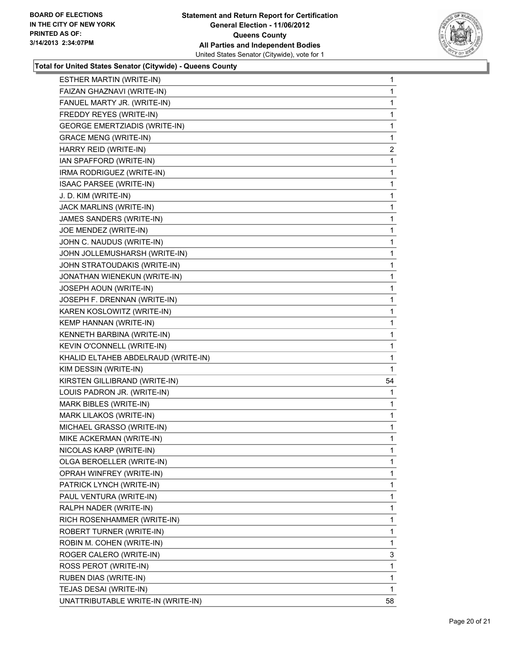

#### **Total for United States Senator (Citywide) - Queens County**

| ESTHER MARTIN (WRITE-IN)             | 1            |
|--------------------------------------|--------------|
| FAIZAN GHAZNAVI (WRITE-IN)           | 1            |
| FANUEL MARTY JR. (WRITE-IN)          | 1            |
| FREDDY REYES (WRITE-IN)              | 1            |
| <b>GEORGE EMERTZIADIS (WRITE-IN)</b> | 1            |
| <b>GRACE MENG (WRITE-IN)</b>         | 1            |
| HARRY REID (WRITE-IN)                | $\mathbf{2}$ |
| IAN SPAFFORD (WRITE-IN)              | 1            |
| IRMA RODRIGUEZ (WRITE-IN)            | 1            |
| ISAAC PARSEE (WRITE-IN)              | 1            |
| J. D. KIM (WRITE-IN)                 | 1            |
| JACK MARLINS (WRITE-IN)              | 1            |
| JAMES SANDERS (WRITE-IN)             | 1            |
| JOE MENDEZ (WRITE-IN)                | 1            |
| JOHN C. NAUDUS (WRITE-IN)            | 1            |
| JOHN JOLLEMUSHARSH (WRITE-IN)        | 1            |
| JOHN STRATOUDAKIS (WRITE-IN)         | 1            |
| JONATHAN WIENEKUN (WRITE-IN)         | 1            |
| JOSEPH AOUN (WRITE-IN)               | 1            |
| JOSEPH F. DRENNAN (WRITE-IN)         | 1            |
| KAREN KOSLOWITZ (WRITE-IN)           | 1            |
| KEMP HANNAN (WRITE-IN)               | 1            |
| KENNETH BARBINA (WRITE-IN)           | 1            |
| KEVIN O'CONNELL (WRITE-IN)           | 1            |
| KHALID ELTAHEB ABDELRAUD (WRITE-IN)  | 1            |
| KIM DESSIN (WRITE-IN)                | 1            |
| KIRSTEN GILLIBRAND (WRITE-IN)        | 54           |
| LOUIS PADRON JR. (WRITE-IN)          | 1            |
| MARK BIBLES (WRITE-IN)               | 1            |
| MARK LILAKOS (WRITE-IN)              | 1            |
| MICHAEL GRASSO (WRITE-IN)            | 1            |
| MIKE ACKERMAN (WRITE-IN)             | 1            |
| NICOLAS KARP (WRITE-IN)              | 1            |
| OLGA BEROELLER (WRITE-IN)            | 1            |
| OPRAH WINFREY (WRITE-IN)             | 1            |
| PATRICK LYNCH (WRITE-IN)             | 1            |
| PAUL VENTURA (WRITE-IN)              | 1            |
| RALPH NADER (WRITE-IN)               | 1            |
| RICH ROSENHAMMER (WRITE-IN)          | 1            |
| ROBERT TURNER (WRITE-IN)             | 1            |
| ROBIN M. COHEN (WRITE-IN)            | 1            |
| ROGER CALERO (WRITE-IN)              | 3            |
| ROSS PEROT (WRITE-IN)                | 1            |
| RUBEN DIAS (WRITE-IN)                | 1            |
| TEJAS DESAI (WRITE-IN)               | 1            |
| UNATTRIBUTABLE WRITE-IN (WRITE-IN)   | 58           |